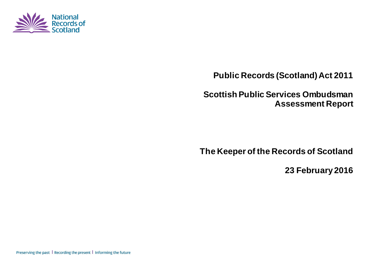

**Public Records (Scotland) Act 2011**

**Scottish Public Services Ombudsman Assessment Report**

**The Keeper of the Records of Scotland**

**23 February 2016**

Preserving the past | Recording the present | Informing the future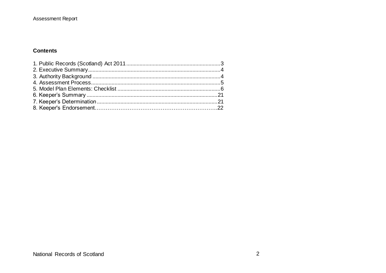#### **Contents**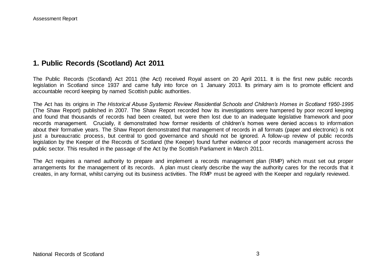# **1. Public Records (Scotland) Act 2011**

The Public Records (Scotland) Act 2011 (the Act) received Royal assent on 20 April 2011. It is the first new public records legislation in Scotland since 1937 and came fully into force on 1 January 2013. Its primary aim is to promote efficient and accountable record keeping by named Scottish public authorities.

The Act has its origins in *The Historical Abuse Systemic Review: Residential Schools and Children's Homes in Scotland 1950-1995* (The Shaw Report) published in 2007. The Shaw Report recorded how its investigations were hampered by poor record keeping and found that thousands of records had been created, but were then lost due to an inadequate legislative framework and poor records management. Crucially, it demonstrated how former residents of children's homes were denied access to information about their formative years. The Shaw Report demonstrated that management of records in all formats (paper and electronic) is not just a bureaucratic process, but central to good governance and should not be ignored. A follow-up review of public records legislation by the Keeper of the Records of Scotland (the Keeper) found further evidence of poor records management across the public sector. This resulted in the passage of the Act by the Scottish Parliament in March 2011.

The Act requires a named authority to prepare and implement a records management plan (RMP) which must set out proper arrangements for the management of its records. A plan must clearly describe the way the authority cares for the records that it creates, in any format, whilst carrying out its business activities. The RMP must be agreed with the Keeper and regularly reviewed.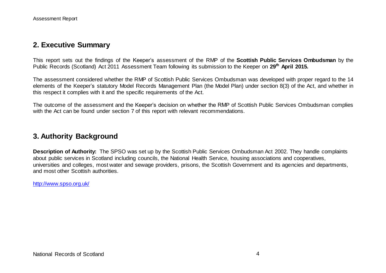# **2. Executive Summary**

This report sets out the findings of the Keeper's assessment of the RMP of the **Scottish Public Services Ombudsman** by the Public Records (Scotland) Act 2011 Assessment Team following its submission to the Keeper on **29th April 2015***.*

The assessment considered whether the RMP of Scottish Public Services Ombudsman was developed with proper regard to the 14 elements of the Keeper's statutory Model Records Management Plan (the Model Plan) under section 8(3) of the Act, and whether in this respect it complies with it and the specific requirements of the Act.

The outcome of the assessment and the Keeper's decision on whether the RMP of Scottish Public Services Ombudsman complies with the Act can be found under section 7 of this report with relevant recommendations.

## **3. Authority Background**

**Description of Authority:** The SPSO was set up by the Scottish Public Services Ombudsman Act 2002. They handle complaints about public services in Scotland including councils, the National Health Service, housing associations and cooperatives, universities and colleges, most water and sewage providers, prisons, the Scottish Government and its agencies and departments, and most other Scottish authorities.

<http://www.spso.org.uk/>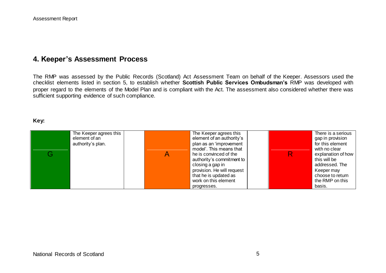# **4. Keeper's Assessment Process**

The RMP was assessed by the Public Records (Scotland) Act Assessment Team on behalf of the Keeper. Assessors used the checklist elements listed in section 5, to establish whether **Scottish Public Services Ombudsman's** RMP was developed with proper regard to the elements of the Model Plan and is compliant with the Act. The assessment also considered whether there was sufficient supporting evidence of such compliance.

#### **Key:**

| addressed. The<br>closing a gap in<br>provision. He will request<br>Keeper may<br>that he is updated as<br>choose to return<br>work on this element<br>the RMP on this<br>basis.<br>progresses. | G | The Keeper agrees this<br>element of an<br>authority's plan. |  | The Keeper agrees this<br>element of an authority's<br>plan as an 'improvement<br>model'. This means that<br>he is convinced of the<br>authority's commitment to |  | There is a serious<br>gap in provision<br>for this element<br>with no clear<br>explanation of how<br>this will be |
|-------------------------------------------------------------------------------------------------------------------------------------------------------------------------------------------------|---|--------------------------------------------------------------|--|------------------------------------------------------------------------------------------------------------------------------------------------------------------|--|-------------------------------------------------------------------------------------------------------------------|
|-------------------------------------------------------------------------------------------------------------------------------------------------------------------------------------------------|---|--------------------------------------------------------------|--|------------------------------------------------------------------------------------------------------------------------------------------------------------------|--|-------------------------------------------------------------------------------------------------------------------|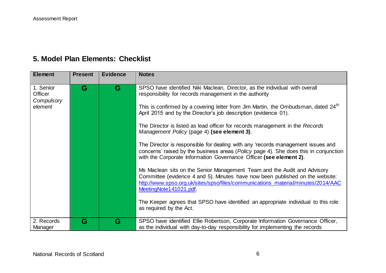# **5. Model Plan Elements: Checklist**

| <b>Element</b>                                | <b>Present</b> | <b>Evidence</b> | <b>Notes</b>                                                                                                                                                                                                                                                                                                                                                                                                                                                                                                                                                                                                                                                                                                                                                                                                                                                                                                                                                                                                                                                                         |
|-----------------------------------------------|----------------|-----------------|--------------------------------------------------------------------------------------------------------------------------------------------------------------------------------------------------------------------------------------------------------------------------------------------------------------------------------------------------------------------------------------------------------------------------------------------------------------------------------------------------------------------------------------------------------------------------------------------------------------------------------------------------------------------------------------------------------------------------------------------------------------------------------------------------------------------------------------------------------------------------------------------------------------------------------------------------------------------------------------------------------------------------------------------------------------------------------------|
| 1. Senior<br>Officer<br>Compulsory<br>element | G              | G               | SPSO have identified Niki Maclean, Director, as the individual with overall<br>responsibility for records management in the authority<br>This is confirmed by a covering letter from Jim Martin, the Ombudsman, dated 24 <sup>th</sup><br>April 2015 and by the Director's job description (evidence 01).<br>The Director is listed as lead officer for records management in the Records<br>Management Policy (page 4) (see element 3).<br>The Director is responsible for dealing with any 'records management issues and<br>concerns' raised by the business areas (Policy page 4). She does this in conjunction<br>with the Corporate Information Governance Officer (see element 2).<br>Ms Maclean sits on the Senior Management Team and the Audit and Advisory<br>Committee (evidence 4 and 5). Minutes have now been published on the website:<br>http://www.spso.org.uk/sites/spso/files/communications_material/minutes/2014/AAC<br>MeetingNote141021.pdf<br>The Keeper agrees that SPSO have identified an appropriate individual to this role<br>as required by the Act. |
| 2. Records<br>Manager                         | G              | G               | SPSO have identified Ellie Robertson, Corporate Information Governance Officer,<br>as the individual with day-to-day responsibility for implementing the records                                                                                                                                                                                                                                                                                                                                                                                                                                                                                                                                                                                                                                                                                                                                                                                                                                                                                                                     |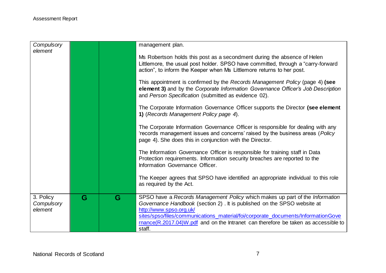| Compulsory            |   |   | management plan.                                                                                                                                          |
|-----------------------|---|---|-----------------------------------------------------------------------------------------------------------------------------------------------------------|
| element               |   |   |                                                                                                                                                           |
|                       |   |   | Ms Robertson holds this post as a secondment during the absence of Helen                                                                                  |
|                       |   |   | Littlemore, the usual post holder. SPSO have committed, through a "carry-forward<br>action", to inform the Keeper when Ms Littlemore returns to her post. |
|                       |   |   |                                                                                                                                                           |
|                       |   |   | This appointment is confirmed by the Records Management Policy (page 4) (see                                                                              |
|                       |   |   | element 3) and by the Corporate Information Governance Officer's Job Description<br>and Person Specification (submitted as evidence 02).                  |
|                       |   |   | The Corporate Information Governance Officer supports the Director (see element                                                                           |
|                       |   |   | 1) (Records Management Policy page 4).                                                                                                                    |
|                       |   |   | The Corporate Information Governance Officer is responsible for dealing with any                                                                          |
|                       |   |   | 'records management issues and concerns' raised by the business areas (Policy<br>page 4). She does this in conjunction with the Director.                 |
|                       |   |   |                                                                                                                                                           |
|                       |   |   | The Information Governance Officer is responsible for training staff in Data                                                                              |
|                       |   |   | Protection requirements. Information security breaches are reported to the<br>Information Governance Officer.                                             |
|                       |   |   |                                                                                                                                                           |
|                       |   |   | The Keeper agrees that SPSO have identified an appropriate individual to this role<br>as required by the Act.                                             |
|                       |   |   |                                                                                                                                                           |
| 3. Policy             | G | G | SPSO have a Records Management Policy which makes up part of the Information                                                                              |
| Compulsory<br>element |   |   | Governance Handbook (section 2) . It is published on the SPSO website at<br>http://www.spso.org.uk/                                                       |
|                       |   |   | sites/spso/files/communications_material/foi/corporate_documents/InformationGove                                                                          |
|                       |   |   | $r$ mance $(R.2017.04)$ W pdf and on the Intranet can therefore be taken as accessible to                                                                 |
|                       |   |   | staff.                                                                                                                                                    |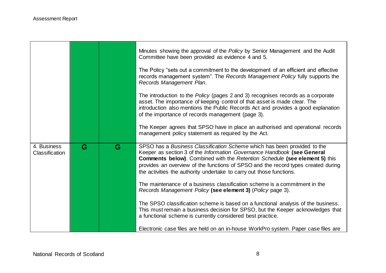|                                      |   |   | Minutes showing the approval of the Policy by Senior Management and the Audit<br>Committee have been provided as evidence 4 and 5.                                                                                                                                                                                                                                                                    |
|--------------------------------------|---|---|-------------------------------------------------------------------------------------------------------------------------------------------------------------------------------------------------------------------------------------------------------------------------------------------------------------------------------------------------------------------------------------------------------|
|                                      |   |   | The Policy "sets out a commitment to the development of an efficient and effective<br>records management system". The Records Management Policy fully supports the<br>Records Management Plan.                                                                                                                                                                                                        |
|                                      |   |   | The introduction to the Policy (pages 2 and 3) recognises records as a corporate<br>asset. The importance of keeping control of that asset is made clear. The<br>introduction also mentions the Public Records Act and provides a good explanation<br>of the importance of records management (page 3).                                                                                               |
|                                      |   |   | The Keeper agrees that SPSO have in place an authorised and operational records<br>management policy statement as required by the Act.                                                                                                                                                                                                                                                                |
| 4. Business<br><b>Classification</b> | G | G | SPSO has a Business Classification Scheme which has been provided to the<br>Keeper as section 3 of the Information Governance Handbook (see General<br><b>Comments below).</b> Combined with the Retention Schedule (see element 5) this<br>provides an overview of the functions of SPSO and the record types created during<br>the activities the authority undertake to carry out those functions. |
|                                      |   |   | The maintenance of a business classification scheme is a commitment in the<br>Records Management Policy (see element 3) (Policy page 3).                                                                                                                                                                                                                                                              |
|                                      |   |   | The SPSO classification scheme is based on a functional analysis of the business.<br>This must remain a business decision for SPSO, but the Keeper acknowledges that<br>a functional scheme is currently considered best practice.                                                                                                                                                                    |
|                                      |   |   | Electronic case files are held on an in-house WorkPro system. Paper case files are                                                                                                                                                                                                                                                                                                                    |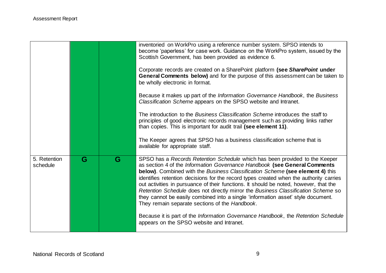|                          |   |   | inventoried on WorkPro using a reference number system. SPSO intends to<br>become 'paperless' for case work. Guidance on the WorkPro system, issued by the<br>Scottish Government, has been provided as evidence 6.<br>Corporate records are created on a SharePoint platform (see SharePoint under<br>General Comments below) and for the purpose of this assessment can be taken to<br>be wholly electronic in format.<br>Because it makes up part of the Information Governance Handbook, the Business<br>Classification Scheme appears on the SPSO website and Intranet.<br>The introduction to the <i>Business Classification Scheme</i> introduces the staff to<br>principles of good electronic records management such as providing links rather<br>than copies. This is important for audit trail (see element 11). |
|--------------------------|---|---|------------------------------------------------------------------------------------------------------------------------------------------------------------------------------------------------------------------------------------------------------------------------------------------------------------------------------------------------------------------------------------------------------------------------------------------------------------------------------------------------------------------------------------------------------------------------------------------------------------------------------------------------------------------------------------------------------------------------------------------------------------------------------------------------------------------------------|
|                          |   |   | The Keeper agrees that SPSO has a business classification scheme that is<br>available for appropriate staff.                                                                                                                                                                                                                                                                                                                                                                                                                                                                                                                                                                                                                                                                                                                 |
| 5. Retention<br>schedule | G | G | SPSO has a Records Retention Schedule which has been provided to the Keeper<br>as section 4 of the Information Governance Handbook (see General Comments<br>below). Combined with the Business Classification Scheme (see element 4) this<br>identifies retention decisions for the record types created when the authority carries<br>out activities in pursuance of their functions. It should be noted, however, that the<br>Retention Schedule does not directly mirror the Business Classification Scheme so<br>they cannot be easily combined into a single 'information asset' style document.<br>They remain separate sections of the Handbook.<br>Because it is part of the Information Governance Handbook, the Retention Schedule<br>appears on the SPSO website and Intranet.                                    |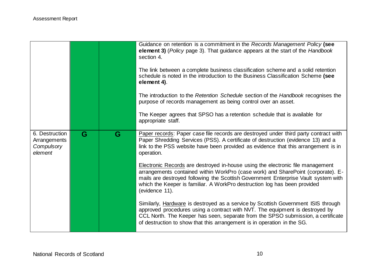|                                                         |   |   | Guidance on retention is a commitment in the Records Management Policy (see<br>element 3) (Policy page 3). That guidance appears at the start of the Handbook<br>section 4.<br>The link between a complete business classification scheme and a solid retention<br>schedule is noted in the introduction to the Business Classification Scheme (see<br>element 4).<br>The introduction to the Retention Schedule section of the Handbook recognises the<br>purpose of records management as being control over an asset.<br>The Keeper agrees that SPSO has a retention schedule that is available for<br>appropriate staff. |
|---------------------------------------------------------|---|---|------------------------------------------------------------------------------------------------------------------------------------------------------------------------------------------------------------------------------------------------------------------------------------------------------------------------------------------------------------------------------------------------------------------------------------------------------------------------------------------------------------------------------------------------------------------------------------------------------------------------------|
| 6. Destruction<br>Arrangements<br>Compulsory<br>element | G | G | Paper records: Paper case file records are destroyed under third party contract with<br>Paper Shredding Services (PSS). A certificate of destruction (evidence 13) and a<br>link to the PSS website have been provided as evidence that this arrangement is in<br>operation.                                                                                                                                                                                                                                                                                                                                                 |
|                                                         |   |   | <b>Electronic Records are destroyed in-house using the electronic file management</b><br>arrangements contained within WorkPro (case work) and SharePoint (corporate). E-<br>mails are destroyed following the Scottish Government Enterprise Vault system with<br>which the Keeper is familiar. A WorkPro destruction log has been provided<br>(evidence 11).                                                                                                                                                                                                                                                               |
|                                                         |   |   | Similarly, Hardware is destroyed as a service by Scottish Government ISIS through<br>approved procedures using a contract with NVT. The equipment is destroyed by<br>CCL North. The Keeper has seen, separate from the SPSO submission, a certificate<br>of destruction to show that this arrangement is in operation in the SG.                                                                                                                                                                                                                                                                                             |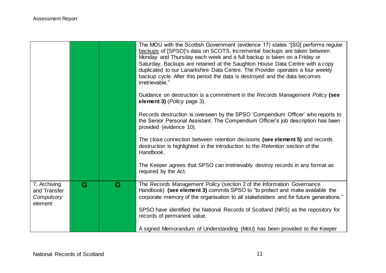|                                                       |   |   | The MOU with the Scottish Government (evidence 17) states "[SG] performs regular<br>backups of [SPSO]'s data on SCOTS. Incremental backups are taken between<br>Monday and Thursday each week and a full backup is taken on a Friday or<br>Saturday. Backups are retained at the Saughton House Data Centre with a copy<br>duplicated to our Lanarkshire Data Centre. The Provider operates a four weekly<br>backup cycle. After this period the data is destroyed and the data becomes<br>irretrievable." |
|-------------------------------------------------------|---|---|------------------------------------------------------------------------------------------------------------------------------------------------------------------------------------------------------------------------------------------------------------------------------------------------------------------------------------------------------------------------------------------------------------------------------------------------------------------------------------------------------------|
|                                                       |   |   | Guidance on destruction is a commitment in the Records Management Policy (see<br>element 3) ( <i>Policy</i> page 3).                                                                                                                                                                                                                                                                                                                                                                                       |
|                                                       |   |   | Records destruction is overseen by the SPSO 'Compendium Officer' who reports to<br>the Senior Personal Assistant. The Compendium Officer's job description has been<br>provided (evidence 10).                                                                                                                                                                                                                                                                                                             |
|                                                       |   |   | The close connection between retention decisions (see element 5) and records<br>destruction is highlighted in the introduction to the Retention section of the<br>Handbook.                                                                                                                                                                                                                                                                                                                                |
|                                                       |   |   | The Keeper agrees that SPSO can irretrievably destroy records in any format as<br>required by the Act.                                                                                                                                                                                                                                                                                                                                                                                                     |
| 7. Archiving<br>and Transfer<br>Compulsory<br>element | G | G | The Records Management Policy (section 2 of the Information Governance<br>Handbook) (see element 3) commits SPSO to "to protect and make available the<br>corporate memory of the organisation to all stakeholders and for future generations."                                                                                                                                                                                                                                                            |
|                                                       |   |   | SPSO have identified the National Records of Scotland (NRS) as the repository for<br>records of permanent value.                                                                                                                                                                                                                                                                                                                                                                                           |
|                                                       |   |   | A signed Memorandum of Understanding (MoU) has been provided to the Keeper                                                                                                                                                                                                                                                                                                                                                                                                                                 |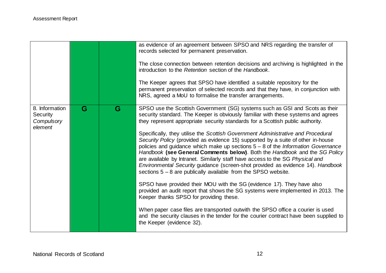|                                                     |   |   | as evidence of an agreement between SPSO and NRS regarding the transfer of<br>records selected for permanent preservation.<br>The close connection between retention decisions and archiving is highlighted in the<br>introduction to the Retention section of the Handbook.<br>The Keeper agrees that SPSO have identified a suitable repository for the<br>permanent preservation of selected records and that they have, in conjunction with<br>NRS, agreed a MoU to formalise the transfer arrangements.                                                                                                                                                                                                                                                                                                                                                                                                                                                                                                                                                                                                                                                                                                                                              |
|-----------------------------------------------------|---|---|-----------------------------------------------------------------------------------------------------------------------------------------------------------------------------------------------------------------------------------------------------------------------------------------------------------------------------------------------------------------------------------------------------------------------------------------------------------------------------------------------------------------------------------------------------------------------------------------------------------------------------------------------------------------------------------------------------------------------------------------------------------------------------------------------------------------------------------------------------------------------------------------------------------------------------------------------------------------------------------------------------------------------------------------------------------------------------------------------------------------------------------------------------------------------------------------------------------------------------------------------------------|
| 8. Information<br>Security<br>Compulsory<br>element | G | G | SPSO use the Scottish Government (SG) systems such as GSI and Scots as their<br>security standard. The Keeper is obviously familiar with these systems and agrees<br>they represent appropriate security standards for a Scottish public authority.<br>Specifically, they utilise the Scottish Government Administrative and Procedural<br>Security Policy (provided as evidence 15) supported by a suite of other in-house<br>policies and guidance which make up sections $5 - 8$ of the Information Governance<br>Handbook (see General Comments below). Both the Handbook and the SG Policy<br>are available by Intranet. Similarly staff have access to the SG Physical and<br>Environmental Security guidance (screen-shot provided as evidence 14). Handbook<br>sections $5 - 8$ are publically available from the SPSO website.<br>SPSO have provided their MOU with the SG (evidence 17). They have also<br>provided an audit report that shows the SG systems were implemented in 2013. The<br>Keeper thanks SPSO for providing these.<br>When paper case files are transported outwith the SPSO office a courier is used<br>and the security clauses in the tender for the courier contract have been supplied to<br>the Keeper (evidence 32). |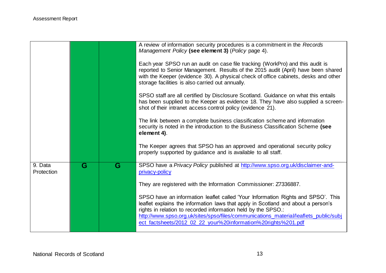|                       |   |   | A review of information security procedures is a commitment in the Records<br>Management Policy (see element 3) (Policy page 4).                                                                                                                                                                                                                                                                |
|-----------------------|---|---|-------------------------------------------------------------------------------------------------------------------------------------------------------------------------------------------------------------------------------------------------------------------------------------------------------------------------------------------------------------------------------------------------|
|                       |   |   | Each year SPSO run an audit on case file tracking (WorkPro) and this audit is<br>reported to Senior Management. Results of the 2015 audit (April) have been shared<br>with the Keeper (evidence 30). A physical check of office cabinets, desks and other<br>storage facilities is also carried out annually.                                                                                   |
|                       |   |   | SPSO staff are all certified by Disclosure Scotland. Guidance on what this entails<br>has been supplied to the Keeper as evidence 18. They have also supplied a screen-<br>shot of their intranet access control policy (evidence 21).                                                                                                                                                          |
|                       |   |   | The link between a complete business classification scheme and information<br>security is noted in the introduction to the Business Classification Scheme (see<br>element 4).                                                                                                                                                                                                                   |
|                       |   |   | The Keeper agrees that SPSO has an approved and operational security policy<br>properly supported by guidance and is available to all staff.                                                                                                                                                                                                                                                    |
| 9. Data<br>Protection | G | G | SPSO have a Privacy Policy published at http://www.spso.org.uk/disclaimer-and-<br>privacy-policy                                                                                                                                                                                                                                                                                                |
|                       |   |   | They are registered with the Information Commissioner: Z7336887.                                                                                                                                                                                                                                                                                                                                |
|                       |   |   | SPSO have an information leaflet called 'Your Information Rights and SPSO'. This<br>leaflet explains the information laws that apply in Scotland and about a person's<br>rights in relation to recorded information held by the SPSO.:<br>http://www.spso.org.uk/sites/spso/files/communications_material/leaflets_public/subj<br>ect_factsheets/2012_02_22_your%20information%20rights%201.pdf |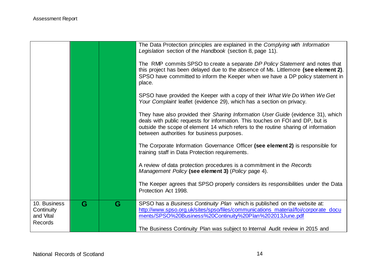|                                                           |   |   | The Data Protection principles are explained in the Complying with Information<br>Legislation section of the Handbook (section 8, page 11).                                                                                                                                                                  |
|-----------------------------------------------------------|---|---|--------------------------------------------------------------------------------------------------------------------------------------------------------------------------------------------------------------------------------------------------------------------------------------------------------------|
|                                                           |   |   | The RMP commits SPSO to create a separate DP Policy Statement and notes that<br>this project has been delayed due to the absence of Ms. Littlemore (see element 2).<br>SPSO have committed to inform the Keeper when we have a DP policy statement in<br>place.                                              |
|                                                           |   |   | SPSO have provided the Keeper with a copy of their What We Do When We Get<br>Your Complaint leaflet (evidence 29), which has a section on privacy.                                                                                                                                                           |
|                                                           |   |   | They have also provided their Sharing Information User Guide (evidence 31), which<br>deals with public requests for information. This touches on FOI and DP, but is<br>outside the scope of element 14 which refers to the routine sharing of information<br>between authorities for business purposes.      |
|                                                           |   |   | The Corporate Information Governance Officer (see element 2) is responsible for<br>training staff in Data Protection requirements.                                                                                                                                                                           |
|                                                           |   |   | A review of data protection procedures is a commitment in the Records<br>Management Policy (see element 3) (Policy page 4).                                                                                                                                                                                  |
|                                                           |   |   | The Keeper agrees that SPSO properly considers its responsibilities under the Data<br>Protection Act 1998.                                                                                                                                                                                                   |
| 10. Business<br>Continuity<br>and Vital<br><b>Records</b> | G | G | SPSO has a Business Continuity Plan which is published on the website at:<br>http://www.spso.org.uk/sites/spso/files/communications_material/foi/corporate_docu<br>ments/SPSO%20Business%20Continuity%20Plan%202013June.pdf<br>The Business Continuity Plan was subject to Internal Audit review in 2015 and |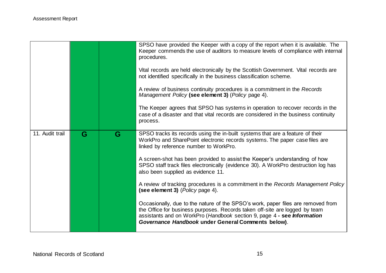|                 |   |   | SPSO have provided the Keeper with a copy of the report when it is available. The<br>Keeper commends the use of auditors to measure levels of compliance with internal<br>procedures.<br>Vital records are held electronically by the Scottish Government. Vital records are<br>not identified specifically in the business classification scheme.<br>A review of business continuity procedures is a commitment in the Records<br>Management Policy (see element 3) (Policy page 4).<br>The Keeper agrees that SPSO has systems in operation to recover records in the<br>case of a disaster and that vital records are considered in the business continuity<br>process.                                                                                                                                                                     |
|-----------------|---|---|------------------------------------------------------------------------------------------------------------------------------------------------------------------------------------------------------------------------------------------------------------------------------------------------------------------------------------------------------------------------------------------------------------------------------------------------------------------------------------------------------------------------------------------------------------------------------------------------------------------------------------------------------------------------------------------------------------------------------------------------------------------------------------------------------------------------------------------------|
| 11. Audit trail | G | G | SPSO tracks its records using the in-built systems that are a feature of their<br>WorkPro and SharePoint electronic records systems. The paper case files are<br>linked by reference number to WorkPro.<br>A screen-shot has been provided to assist the Keeper's understanding of how<br>SPSO staff track files electronically (evidence 30). A WorkPro destruction log has<br>also been supplied as evidence 11.<br>A review of tracking procedures is a commitment in the Records Management Policy<br>(see element 3) (Policy page 4).<br>Occasionally, due to the nature of the SPSO's work, paper files are removed from<br>the Office for business purposes. Records taken off-site are logged by team<br>assistants and on WorkPro (Handbook section 9, page 4 - see Information<br>Governance Handbook under General Comments below). |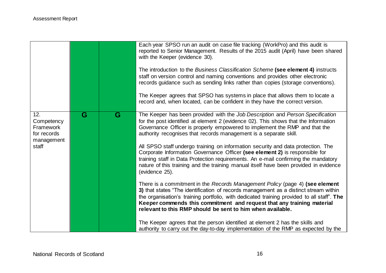|                                                                      |                         |   | Each year SPSO run an audit on case file tracking (WorkPro) and this audit is<br>reported to Senior Management. Results of the 2015 audit (April) have been shared<br>with the Keeper (evidence 30).<br>The introduction to the Business Classification Scheme (see element 4) instructs<br>staff on version control and naming conventions and provides other electronic<br>records guidance such as sending links rather than copies (storage conventions).<br>The Keeper agrees that SPSO has systems in place that allows them to locate a<br>record and, when located, can be confident in they have the correct version.                                                                                                                                                                                                                                                                                                                                                                                                                                                                                                                                                                                                                                                   |
|----------------------------------------------------------------------|-------------------------|---|----------------------------------------------------------------------------------------------------------------------------------------------------------------------------------------------------------------------------------------------------------------------------------------------------------------------------------------------------------------------------------------------------------------------------------------------------------------------------------------------------------------------------------------------------------------------------------------------------------------------------------------------------------------------------------------------------------------------------------------------------------------------------------------------------------------------------------------------------------------------------------------------------------------------------------------------------------------------------------------------------------------------------------------------------------------------------------------------------------------------------------------------------------------------------------------------------------------------------------------------------------------------------------|
| 12.<br>Competency<br>Framework<br>for records<br>management<br>staff | $\overline{\mathbf{G}}$ | G | The Keeper has been provided with the Job Description and Person Specification<br>for the post identified at element 2 (evidence 02). This shows that the Information<br>Governance Officer is properly empowered to implement the RMP and that the<br>authority recognises that records management is a separate skill.<br>All SPSO staff undergo training on information security and data protection. The<br>Corporate Information Governance Officer (see element 2) is responsible for<br>training staff in Data Protection requirements. An e-mail confirming the mandatory<br>nature of this training and the training manual itself have been provided in evidence<br>(evidence 25).<br>There is a commitment in the Records Management Policy (page 4) (see element<br>3) that states "The identification of records management as a distinct stream within<br>the organisation's training portfolio, with dedicated training provided to all staff". The<br>Keeper commends this commitment and request that any training material<br>relevant to this RMP should be sent to him when available.<br>The Keeper agrees that the person identified at element 2 has the skills and<br>authority to carry out the day-to-day implementation of the RMP as expected by the |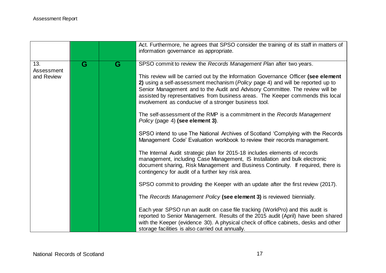|                                 |                         |   | Act. Furthermore, he agrees that SPSO consider the training of its staff in matters of<br>information governance as appropriate.                                                                                                                                                                                                                                                                                                                                                                                                                                                                                                                                                                                                                                                 |
|---------------------------------|-------------------------|---|----------------------------------------------------------------------------------------------------------------------------------------------------------------------------------------------------------------------------------------------------------------------------------------------------------------------------------------------------------------------------------------------------------------------------------------------------------------------------------------------------------------------------------------------------------------------------------------------------------------------------------------------------------------------------------------------------------------------------------------------------------------------------------|
| 13.<br>Assessment<br>and Review | $\overline{\mathbf{G}}$ | G | SPSO commit to review the Records Management Plan after two years.<br>This review will be carried out by the Information Governance Officer (see element<br>2) using a self-assessment mechanism (Policy page 4) and will be reported up to<br>Senior Management and to the Audit and Advisory Committee. The review will be<br>assisted by representatives from business areas. The Keeper commends this local<br>involvement as conducive of a stronger business tool.<br>The self-assessment of the RMP is a commitment in the Records Management<br>Policy (page 4) (see element 3).<br>SPSO intend to use The National Archives of Scotland 'Complying with the Records<br>Management Code' Evaluation workbook to review their records management.                         |
|                                 |                         |   | The Internal Audit strategic plan for 2015-18 includes elements of records<br>management, including Case Management, IS Installation and bulk electronic<br>document sharing, Risk Management and Business Continuity. If required, there is<br>contingency for audit of a further key risk area.<br>SPSO commit to providing the Keeper with an update after the first review (2017).<br>The Records Management Policy (see element 3) is reviewed biennially.<br>Each year SPSO run an audit on case file tracking (WorkPro) and this audit is<br>reported to Senior Management. Results of the 2015 audit (April) have been shared<br>with the Keeper (evidence 30). A physical check of office cabinets, desks and other<br>storage facilities is also carried out annually. |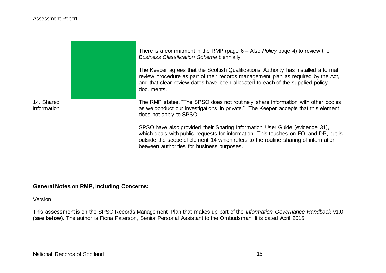|                                  |  | There is a commitment in the RMP (page $6 -$ Also <i>Policy</i> page 4) to review the<br><b>Business Classification Scheme biennially.</b><br>The Keeper agrees that the Scottish Qualifications Authority has installed a formal<br>review procedure as part of their records management plan as required by the Act,<br>and that clear review dates have been allocated to each of the supplied policy<br>documents.                                                                                       |
|----------------------------------|--|--------------------------------------------------------------------------------------------------------------------------------------------------------------------------------------------------------------------------------------------------------------------------------------------------------------------------------------------------------------------------------------------------------------------------------------------------------------------------------------------------------------|
| 14. Shared<br><b>Information</b> |  | The RMP states, "The SPSO does not routinely share information with other bodies<br>as we conduct our investigations in private." The Keeper accepts that this element<br>does not apply to SPSO.<br>SPSO have also provided their Sharing Information User Guide (evidence 31),<br>which deals with public requests for information. This touches on FOI and DP, but is<br>outside the scope of element 14 which refers to the routine sharing of information<br>between authorities for business purposes. |

#### **General Notes on RMP, Including Concerns:**

Version

This assessment is on the SPSO Records Management Plan that makes up part of the *Information Governance Handbook* v1.0 **(see below)**. The author is Fiona Paterson, Senior Personal Assistant to the Ombudsman. It is dated April 2015.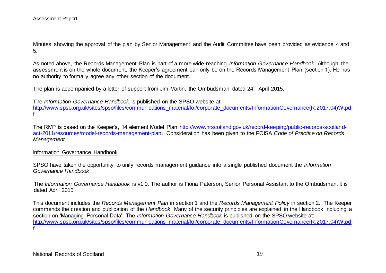Minutes showing the approval of the plan by Senior Management and the Audit Committee have been provided as evidence 4 and 5.

As noted above, the Records Management Plan is part of a more wide-reaching *Information Governance Handbook*. Although the assessment is on the whole document, the Keeper's agreement can only be on the Records Management Plan (section 1). He has no authority to formally agree any other section of the document.

The plan is accompanied by a letter of support from Jim Martin, the Ombudsman, dated 24<sup>th</sup> April 2015.

The *Information Governance Handbook* is published on the SPSO website at: [http://www.spso.org.uk/sites/spso/files/communications\\_material/foi/corporate\\_documents/InformationGovernance\(R.2017.04\)W.pd](http://www.spso.org.uk/sites/spso/files/communications_material/foi/corporate_documents/InformationGovernance(R.2017.04)W.pdf) [f](http://www.spso.org.uk/sites/spso/files/communications_material/foi/corporate_documents/InformationGovernance(R.2017.04)W.pdf)

The RMP is based on the Keeper's, 14 element Model Plan [http://www.nrscotland.gov.uk/record-keeping/public-records-scotland](http://www.nrscotland.gov.uk/record-keeping/public-records-scotland-act-2011/resources/model-records-management-plan)[act-2011/resources/model-records-management-plan.](http://www.nrscotland.gov.uk/record-keeping/public-records-scotland-act-2011/resources/model-records-management-plan) Consideration has been given to the FOISA *Code of Practice on Records Management.*

#### Information Governance Handbook

SPSO have taken the opportunity to unify records management guidance into a single published document the *Information Governance Handbook*.

The *Information Governance Handbook* is v1.0. The author is Fiona Paterson, Senior Personal Assistant to the Ombudsman. It is dated April 2015.

This document includes the *Records Management Plan* in section 1 and the *Records Management Policy* in section 2. The Keeper commends the creation and publication of the *Handbook*. Many of the security principles are explained in the Handbook including a section on 'Managing Personal Data'. The *Information Governance Handbook* is published on the SPSO website at: [http://www.spso.org.uk/sites/spso/files/communications\\_material/foi/corporate\\_documents/InformationGovernance\(R.2017.04\)W.pd](http://www.spso.org.uk/sites/spso/files/communications_material/foi/corporate_documents/InformationGovernance(R.2017.04)W.pdf) [f](http://www.spso.org.uk/sites/spso/files/communications_material/foi/corporate_documents/InformationGovernance(R.2017.04)W.pdf)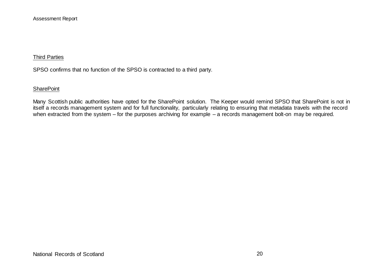#### Third Parties

SPSO confirms that no function of the SPSO is contracted to a third party.

#### **SharePoint**

Many Scottish public authorities have opted for the SharePoint solution. The Keeper would remind SPSO that SharePoint is not in itself a records management system and for full functionality, particularly relating to ensuring that metadata travels with the record when extracted from the system – for the purposes archiving for example – a records management bolt-on may be required.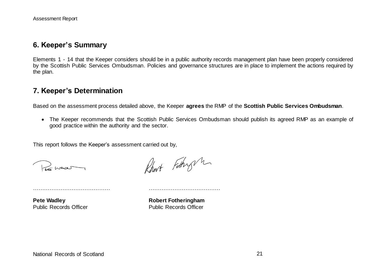## **6. Keeper's Summary**

Elements 1 - 14 that the Keeper considers should be in a public authority records management plan have been properly considered by the Scottish Public Services Ombudsman. Policies and governance structures are in place to implement the actions required by the plan.

### **7. Keeper's Determination**

Based on the assessment process detailed above, the Keeper **agrees** the RMP of the **Scottish Public Services Ombudsman**.

 The Keeper recommends that the Scottish Public Services Ombudsman should publish its agreed RMP as an example of good practice within the authority and the sector.

This report follows the Keeper's assessment carried out by,

…………………………………… …………………………………

Pos was

Rhart Fothy m

**Pete Wadley <b>Robert Fotheringham** Public Records Officer Public Records Officer